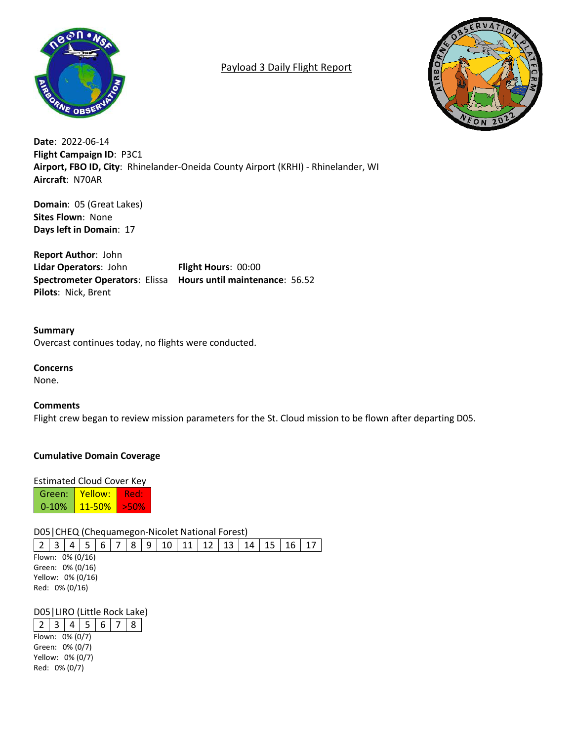

# Payload 3 Daily Flight Report



**Date**: 2022-06-14 **Flight Campaign ID**: P3C1 **Airport, FBO ID, City**: Rhinelander-Oneida County Airport (KRHI) - Rhinelander, WI **Aircraft**: N70AR

**Domain**: 05 (Great Lakes) **Sites Flown**: None **Days left in Domain**: 17

**Report Author**: John **Lidar Operators**: John **Flight Hours**: 00:00 **Spectrometer Operators**: Elissa **Hours until maintenance**: 56.52 **Pilots**: Nick, Brent

**Summary** Overcast continues today, no flights were conducted.

## **Concerns**

None.

## **Comments**

Flight crew began to review mission parameters for the St. Cloud mission to be flown after departing D05.

## **Cumulative Domain Coverage**

#### Estimated Cloud Cover Key

Green: 0-10% Yellow: 11-50% Red: >50%

## D05|CHEQ (Chequamegon-Nicolet National Forest)

|                              |  |  |  |  |  | 2   3   4   5   6   7   8   9   10   11   12   13   14   15   16   17 |  |  |
|------------------------------|--|--|--|--|--|-----------------------------------------------------------------------|--|--|
| Flown: 0% (0/16)             |  |  |  |  |  |                                                                       |  |  |
| Green: 0% (0/16)             |  |  |  |  |  |                                                                       |  |  |
| $V_0$ llown $0\%$ ( $0/16$ ) |  |  |  |  |  |                                                                       |  |  |

Yellow: 0% (0/16) Red: 0% (0/16)

## D05|LIRO (Little Rock Lake)

 $2 | 3 | 4 | 5 | 6 | 7 | 8$ Flown: 0% (0/7) Green: 0% (0/7) Yellow: 0% (0/7) Red: 0% (0/7)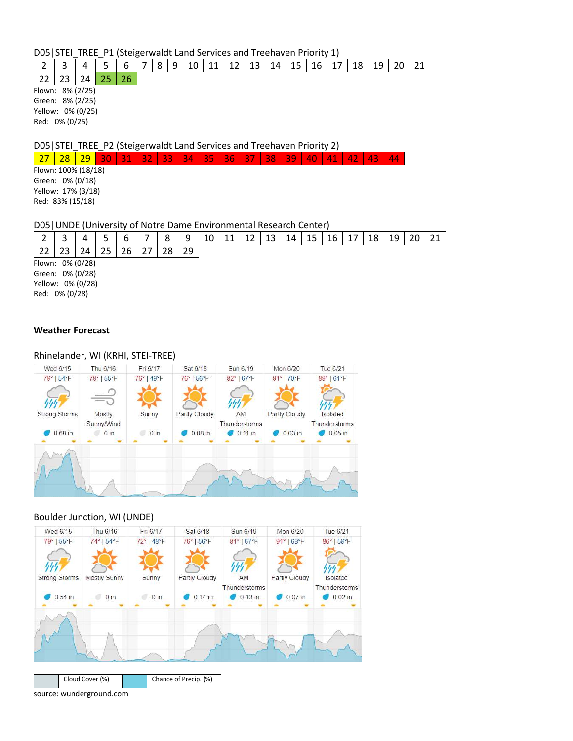D05|STEI\_TREE\_P1 (Steigerwaldt Land Services and Treehaven Priority 1)

|  |  |  |  |  |  |  |  |  |  |  |  | 6   7   8   9   10   11   12   13   14   15   16   17   18   19   20   21 |  |  |  |  |  |  |  |  |
|--|--|--|--|--|--|--|--|--|--|--|--|---------------------------------------------------------------------------|--|--|--|--|--|--|--|--|
|--|--|--|--|--|--|--|--|--|--|--|--|---------------------------------------------------------------------------|--|--|--|--|--|--|--|--|

22 23 24 25 26 Flown: 8% (2/25) Green: 8% (2/25) Yellow: 0% (0/25) Red: 0% (0/25)

D05|STEI\_TREE\_P2 (Steigerwaldt Land Services and Treehaven Priority 2)

27 | 28 | 29 | 30 | 31 | 32 | 33 | 34 | 35 | 36 | 37 | 38 | 39 | 40 | 41 | 42 | 43 | 44

Flown: 100% (18/18) Green: 0% (0/18) Yellow: 17% (3/18) Red: 83% (15/18)

#### D05|UNDE (University of Notre Dame Environmental Research Center)

|                                                                             |    |    |    | ь  | 8  | 9  | 10 |  | 13 | 14 | 15 | 16 | 18 | 19 | 21 |
|-----------------------------------------------------------------------------|----|----|----|----|----|----|----|--|----|----|----|----|----|----|----|
| 22                                                                          | 23 | 24 | 25 | 26 | 28 | 29 |    |  |    |    |    |    |    |    |    |
| Flown: 0% (0/28)<br>Green: 0% (0/28)<br>Yellow: 0% (0/28)<br>Red: 0% (0/28) |    |    |    |    |    |    |    |  |    |    |    |    |    |    |    |

#### **Weather Forecast**

#### Rhinelander, WI (KRHI, STEI-TREE)

| Wed 6/15             | Thu 6/16           | Fri 6/17   | Sat 6/18      | Sun 6/19                      | Mon 6/20      | Tue 6/21                   |
|----------------------|--------------------|------------|---------------|-------------------------------|---------------|----------------------------|
| 79°   54°F           | 78°   55°F         | 76°   49°F | 76°   56°F    | 82°   67°F                    | 91°   70°F    | 89°   61°F                 |
| را را را             |                    |            |               |                               |               |                            |
| <b>Strong Storms</b> | Mostly             | Sunny      | Partly Cloudy | AM                            | Partly Cloudy | Isolated                   |
| $0.68$ in            | Sunny/Wind<br>0 in | $0$ in     | $0.08$ in     | Thunderstorms<br>0.11 in<br>o | $0.03$ in     | Thunderstorms<br>$0.05$ in |
|                      |                    |            |               |                               |               |                            |
| - An                 |                    |            |               |                               |               |                            |
|                      |                    |            |               |                               |               |                            |
|                      |                    |            |               |                               |               |                            |
|                      |                    |            |               |                               |               |                            |

#### Boulder Junction, WI (UNDE)



source: wunderground.com